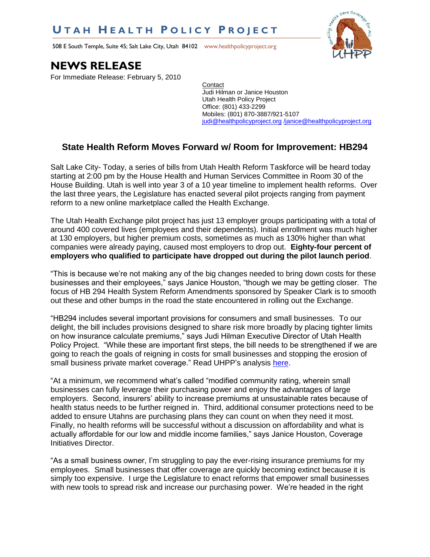## **U T A H H E A L T H P O L I C Y P R O J E C T**

508 E South Temple, Suite 45; Salt Lake City, Utah 84102 www.healthpolicyproject.org



## **NEWS RELEASE**

For Immediate Release: February 5, 2010

**Contact** Judi Hilman or Janice Houston Utah Health Policy Project Office: (801) 433-2299 Mobiles: (801) 870-3887/921-5107 [judi@healthpolicyproject.org](mailto:judi@healthpolicyproject.org) [/janice@healthpolicyproject.org](mailto:/janice@healthpolicyproject.org)

## **State Health Reform Moves Forward w/ Room for Improvement: HB294**

Salt Lake City- Today, a series of bills from Utah Health Reform Taskforce will be heard today starting at 2:00 pm by the House Health and Human Services Committee in Room 30 of the House Building. Utah is well into year 3 of a 10 year timeline to implement health reforms. Over the last three years, the Legislature has enacted several pilot projects ranging from payment reform to a new online marketplace called the Health Exchange.

The Utah Health Exchange pilot project has just 13 employer groups participating with a total of around 400 covered lives (employees and their dependents). Initial enrollment was much higher at 130 employers, but higher premium costs, sometimes as much as 130% higher than what companies were already paying, caused most employers to drop out. **Eighty-four percent of employers who qualified to participate have dropped out during the pilot launch period**.

"This is because we're not making any of the big changes needed to bring down costs for these businesses and their employees," says Janice Houston, "though we may be getting closer. The focus of HB 294 Health System Reform Amendments sponsored by Speaker Clark is to smooth out these and other bumps in the road the state encountered in rolling out the Exchange.

"HB294 includes several important provisions for consumers and small businesses. To our delight, the bill includes provisions designed to share risk more broadly by placing tighter limits on how insurance calculate premiums," says Judi Hilman Executive Director of Utah Health Policy Project. "While these are important first steps, the bill needs to be strengthened if we are going to reach the goals of reigning in costs for small businesses and stopping the erosion of small business private market coverage." Read UHPP's analysis [here.](http://www.healthpolicyproject.org/Publications_files/USHARE/HB294Analysis2-5-10.pdf)

"At a minimum, we recommend what's called "modified community rating, wherein small businesses can fully leverage their purchasing power and enjoy the advantages of large employers. Second, insurers' ability to increase premiums at unsustainable rates because of health status needs to be further reigned in. Third, additional consumer protections need to be added to ensure Utahns are purchasing plans they can count on when they need it most. Finally, no health reforms will be successful without a discussion on affordability and what is actually affordable for our low and middle income families," says Janice Houston, Coverage Initiatives Director.

"As a small business owner, I'm struggling to pay the ever-rising insurance premiums for my employees. Small businesses that offer coverage are quickly becoming extinct because it is simply too expensive. I urge the Legislature to enact reforms that empower small businesses with new tools to spread risk and increase our purchasing power. We're headed in the right